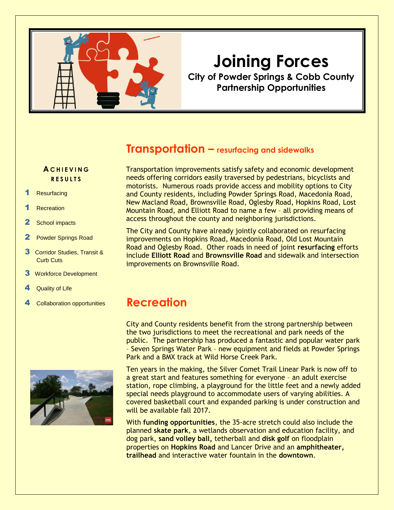

# **Joining Forces**

**City of Powder Springs & Cobb County Partnership Opportunities**

#### **Transportation – resurfacing and sidewalks**

#### **A C H I E V I N G R E S U L T S**

- **Resurfacing**
- **Recreation**
- 2 School impacts
- 2 Powder Springs Road
- 3 Corridor Studies, Transit & Curb Cuts
- **3** Workforce Development
- Quality of Life
- 



Transportation improvements satisfy safety and economic development needs offering corridors easily traversed by pedestrians, bicyclists and motorists. Numerous roads provide access and mobility options to City and County residents, including Powder Springs Road, Macedonia Road, New Macland Road, Brownsville Road, Oglesby Road, Hopkins Road, Lost Mountain Road, and Elliott Road to name a few – all providing means of access throughout the county and neighboring jurisdictions.

The City and County have already jointly collaborated on resurfacing improvements on Hopkins Road, Macedonia Road, Old Lost Mountain Road and Oglesby Road. Other roads in need of joint **resurfacing** efforts include **Elliott Road** and **Brownsville Road** and sidewalk and intersection improvements on Brownsville Road.

#### <sup>4</sup> Collaboration opportunities **Recreation**

City and County residents benefit from the strong partnership between the two jurisdictions to meet the recreational and park needs of the public. The partnership has produced a fantastic and popular water park – Seven Springs Water Park – new equipment and fields at Powder Springs Park and a BMX track at Wild Horse Creek Park.

Ten years in the making, the Silver Comet Trail Linear Park is now off to a great start and features something for everyone – an adult exercise station, rope climbing, a playground for the little feet and a newly added special needs playground to accommodate users of varying abilities. A covered basketball court and expanded parking is under construction and will be available fall 2017.

With **funding opportunities**, the 35-acre stretch could also include the planned **skate park**, a wetlands observation and education facility, and dog park, **sand volley ball,** tetherball and **disk golf** on floodplain properties on **Hopkins Road** and Lancer Drive and an **amphitheater, trailhead** and interactive water fountain in the **downtown**.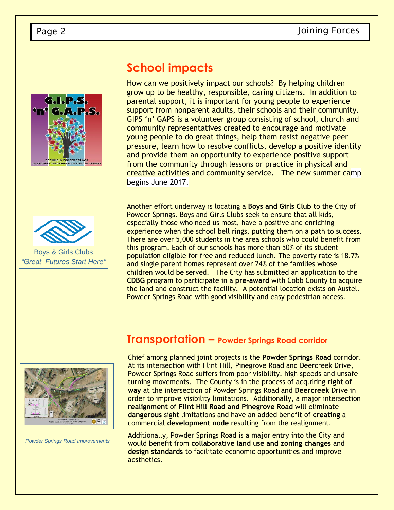





Boys & Girls Clubs *"Great Futures Start Here"*

## **School impacts**

How can we positively impact our schools? By helping children grow up to be healthy, responsible, caring citizens. In addition to parental support, it is important for young people to experience support from nonparent adults, their schools and their community. GIPS 'n' GAPS is a volunteer group consisting of school, church and community representatives created to encourage and motivate young people to do great things, help them resist negative peer pressure, learn how to resolve conflicts, develop a positive identity and provide them an opportunity to experience positive support from the community through lessons or practice in physical and creative activities and community service. The new summer camp begins June 2017.

Another effort underway is locating a **Boys and Girls Club** to the City of Powder Springs. Boys and Girls Clubs seek to ensure that all kids, especially those who need us most, have a positive and enriching experience when the school bell rings, putting them on a path to success. There are over 5,000 students in the area schools who could benefit from this program. Each of our schools has more than 50% of its student population eligible for free and reduced lunch. The poverty rate is 18.7% and single parent homes represent over 24% of the families whose children would be served. The City has submitted an application to the **CDBG** program to participate in a **pre-award** with Cobb County to acquire the land and construct the facility. A potential location exists on Austell Powder Springs Road with good visibility and easy pedestrian access.



*Powder Springs Road Improvements*

#### **Transportation – Powder Springs Road corridor**

Chief among planned joint projects is the **Powder Springs Road** corridor. At its intersection with Flint Hill, Pinegrove Road and Deercreek Drive, Powder Springs Road suffers from poor visibility, high speeds and unsafe turning movements. The County is in the process of acquiring **right of way** at the intersection of Powder Springs Road and **Deercreek** Drive in order to improve visibility limitations. Additionally, a major intersection **realignment** of **Flint Hill Road and Pinegrove Road** will eliminate **dangerous** sight limitations and have an added benefit of **creating** a commercial **development node** resulting from the realignment.

Additionally, Powder Springs Road is a major entry into the City and would benefit from **collaborative land use and zoning changes** and **design standards** to facilitate economic opportunities and improve aesthetics.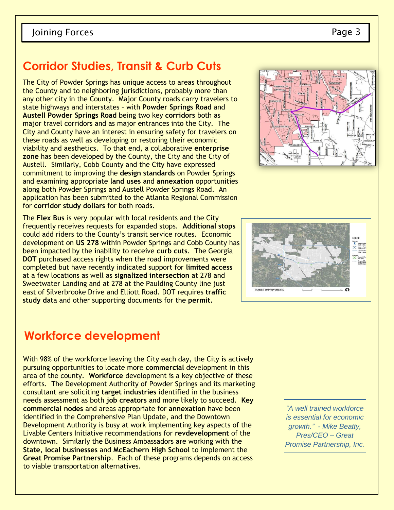## **Corridor Studies, Transit & Curb Cuts**

The City of Powder Springs has unique access to areas throughout the County and to neighboring jurisdictions, probably more than any other city in the County. Major County roads carry travelers to state highways and interstates – with **Powder Springs Road** and **Austell Powder Springs Road** being two key **corridors** both as major travel corridors and as major entrances into the City. The City and County have an interest in ensuring safety for travelers on these roads as well as developing or restoring their economic viability and aesthetics. To that end, a collaborative **enterprise zone** has been developed by the County, the City and the City of Austell. Similarly, Cobb County and the City have expressed commitment to improving the **design standards** on Powder Springs and examining appropriate **land uses** and **annexation** opportunities along both Powder Springs and Austell Powder Springs Road. An application has been submitted to the Atlanta Regional Commission for **corridor study dollars** for both roads.

The **Flex Bus** is very popular with local residents and the City frequently receives requests for expanded stops. **Additional stops**  could add riders to the County's transit service routes. Economic development on **US 278** within Powder Springs and Cobb County has been impacted by the inability to receive **curb cuts**. The Georgia **DOT** purchased access rights when the road improvements were completed but have recently indicated support for **limited access**  at a few locations as well as **signalized intersection** at 278 and Sweetwater Landing and at 278 at the Paulding County line just east of Silverbrooke Drive and Elliott Road. DOT requires **traffic study d**ata and other supporting documents for the **permit.**

#### **Workforce development**

With 98% of the workforce leaving the City each day, the City is actively pursuing opportunities to locate more **commercial** development in this area of the county. **Workforce** development is a key objective of these efforts. The Development Authority of Powder Springs and its marketing consultant are soliciting **target industries** identified in the business needs assessment as both **job creators** and more likely to succeed. **Key commercial nodes** and areas appropriate for **annexation** have been identified in the Comprehensive Plan Update, and the Downtown Development Authority is busy at work implementing key aspects of the Livable Centers Initiative recommendations for **revdevelopment** of the downtown. Similarly the Business Ambassadors are working with the **State**, **local businesses** and **McEachern High School** to implement the **Great Promise Partnership**. Each of these programs depends on access to viable transportation alternatives.

*"A well trained workforce is essential for economic growth." - Mike Beatty, Pres/CEO – Great Promise Partnership, Inc.*